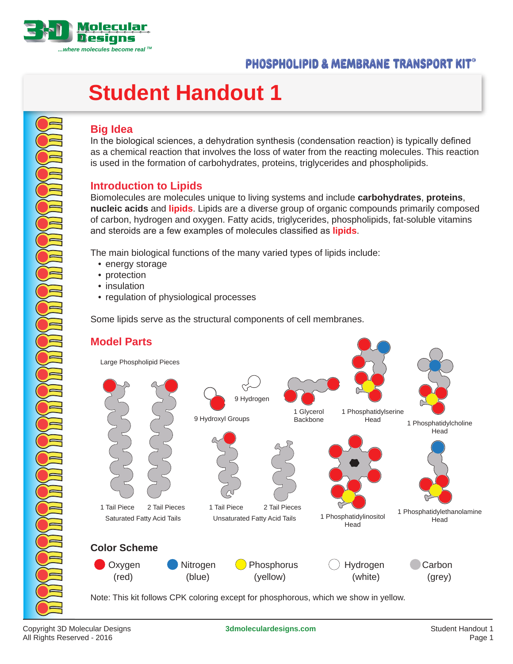

# **Student Handout 1**

#### **Big Idea**

In the biological sciences, a dehydration synthesis (condensation reaction) is typically defined as a chemical reaction that involves the loss of water from the reacting molecules. This reaction is used in the formation of carbohydrates, proteins, triglycerides and phospholipids.

#### **Introduction to Lipids**

Biomolecules are molecules unique to living systems and include **carbohydrates**, **proteins**, **nucleic acids** and **lipids**. Lipids are a diverse group of organic compounds primarily composed of carbon, hydrogen and oxygen. Fatty acids, triglycerides, phospholipids, fat-soluble vitamins and steroids are a few examples of molecules classified as **lipids**.

The main biological functions of the many varied types of lipids include:

- energy storage
- protection
- insulation
- regulation of physiological processes

Some lipids serve as the structural components of cell membranes.



Note: This kit follows CPK coloring except for phosphorous, which we show in yellow.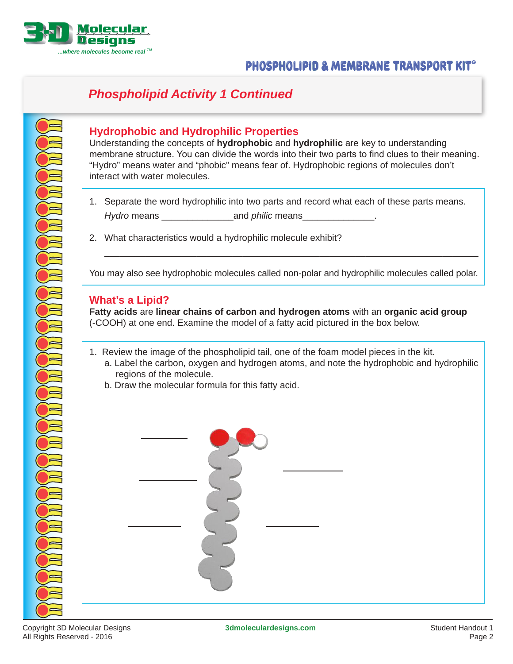

#### PHOSPHOLIPID & MEMBRANE TRANSPORT KIT

### **Phospholipid Activity 1 Continued**

#### **Hydrophobic and Hydrophilic Properties**

Understanding the concepts of **hydrophobic** and **hydrophilic** are key to understanding membrane structure. You can divide the words into their two parts to find clues to their meaning. "Hydro" means water and "phobic" means fear of. Hydrophobic regions of molecules don't interact with water molecules.

- 1. Separate the word hydrophilic into two parts and record what each of these parts means. Hydro means \_\_\_\_\_\_\_\_\_\_\_\_\_\_and philic means\_\_\_\_\_\_\_\_\_\_\_\_\_\_.
- 2. What characteristics would a hydrophilic molecule exhibit?

You may also see hydrophobic molecules called non-polar and hydrophilic molecules called polar.

\_\_\_\_\_\_\_\_\_\_\_\_\_\_\_\_\_\_\_\_\_\_\_\_\_\_\_\_\_\_\_\_\_\_\_\_\_\_\_\_\_\_\_\_\_\_\_\_\_\_\_\_\_\_\_\_\_\_\_\_\_\_\_\_\_\_\_\_\_\_\_\_\_

#### **What's a Lipid?**

**Fatty acids** are **linear chains of carbon and hydrogen atoms** with an **organic acid group**  (-COOH) at one end. Examine the model of a fatty acid pictured in the box below.

- 1. Review the image of the phospholipid tail, one of the foam model pieces in the kit.
	- a. Label the carbon, oxygen and hydrogen atoms, and note the hydrophobic and hydrophilic regions of the molecule.
	- b. Draw the molecular formula for this fatty acid.

**RACCE OF THE CONTROL**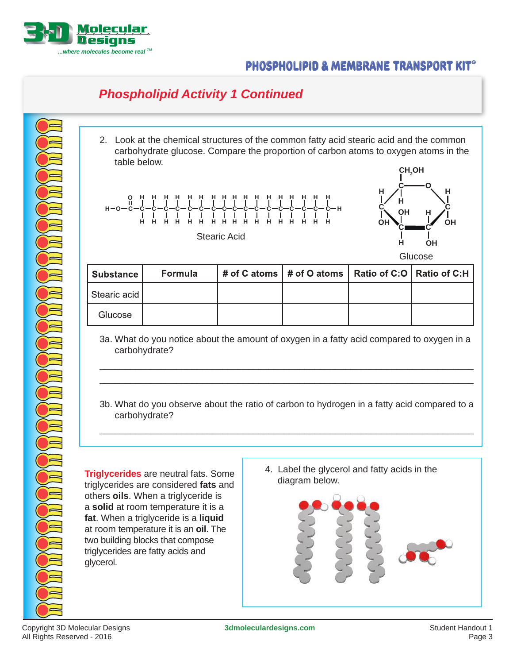

### **Phospholipid Activity 1 Continued**

2. Look at the chemical structures of the common fatty acid stearic acid and the common carbohydrate glucose. Compare the proportion of carbon atoms to oxygen atoms in the table below.







| . Substance <sup>∣</sup> | Formula | # of C atoms   # of O atoms   Ratio of C:O   Ratio of C:H |  |
|--------------------------|---------|-----------------------------------------------------------|--|
| Stearic acid             |         |                                                           |  |
| Glucose                  |         |                                                           |  |

3a. What do you notice about the amount of oxygen in a fatty acid compared to oxygen in a carbohydrate?

\_\_\_\_\_\_\_\_\_\_\_\_\_\_\_\_\_\_\_\_\_\_\_\_\_\_\_\_\_\_\_\_\_\_\_\_\_\_\_\_\_\_\_\_\_\_\_\_\_\_\_\_\_\_\_\_\_\_\_\_\_\_\_\_\_\_\_\_\_\_\_\_\_ \_\_\_\_\_\_\_\_\_\_\_\_\_\_\_\_\_\_\_\_\_\_\_\_\_\_\_\_\_\_\_\_\_\_\_\_\_\_\_\_\_\_\_\_\_\_\_\_\_\_\_\_\_\_\_\_\_\_\_\_\_\_\_\_\_\_\_\_\_\_\_\_\_

3b. What do you observe about the ratio of carbon to hydrogen in a fatty acid compared to a carbohydrate?

\_\_\_\_\_\_\_\_\_\_\_\_\_\_\_\_\_\_\_\_\_\_\_\_\_\_\_\_\_\_\_\_\_\_\_\_\_\_\_\_\_\_\_\_\_\_\_\_\_\_\_\_\_\_\_\_\_\_\_\_\_\_\_\_\_\_\_\_\_\_\_\_\_

**Triglycerides** are neutral fats. Some triglycerides are considered **fats** and others **oils**. When a triglyceride is a **solid** at room temperature it is a **fat**. When a triglyceride is a **liquid** at room temperature it is an **oil**. The two building blocks that compose triglycerides are fatty acids and glycerol.

4. Label the glycerol and fatty acids in the diagram below.

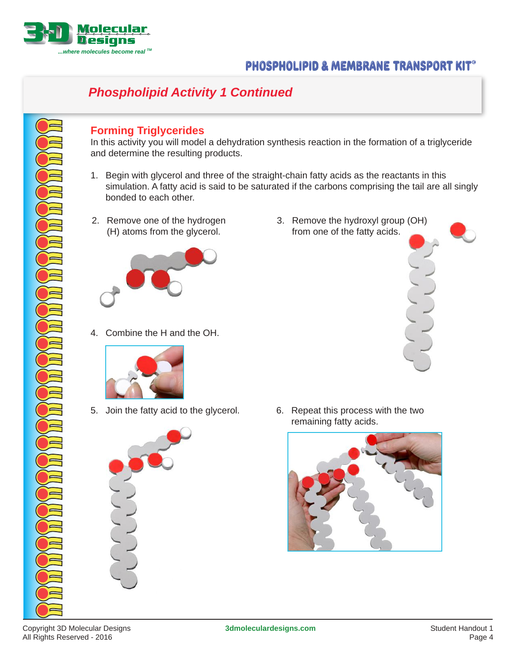

### **Phospholipid Activity 1 Continued**

#### **Forming Triglycerides**

In this activity you will model a dehydration synthesis reaction in the formation of a triglyceride and determine the resulting products.

- 1. Begin with glycerol and three of the straight-chain fatty acids as the reactants in this simulation. A fatty acid is said to be saturated if the carbons comprising the tail are all singly bonded to each other.
- 2. Remove one of the hydrogen (H) atoms from the glycerol.



4. Combine the H and the OH.



5. Join the fatty acid to the glycerol.



3. Remove the hydroxyl group (OH) from one of the fatty acids.

6. Repeat this process with the two remaining fatty acids.



Copyright 3D Molecular Designs Copyright 3D Molecular Designs All Rights Reserved - 2016 All Rights Reserved - 2016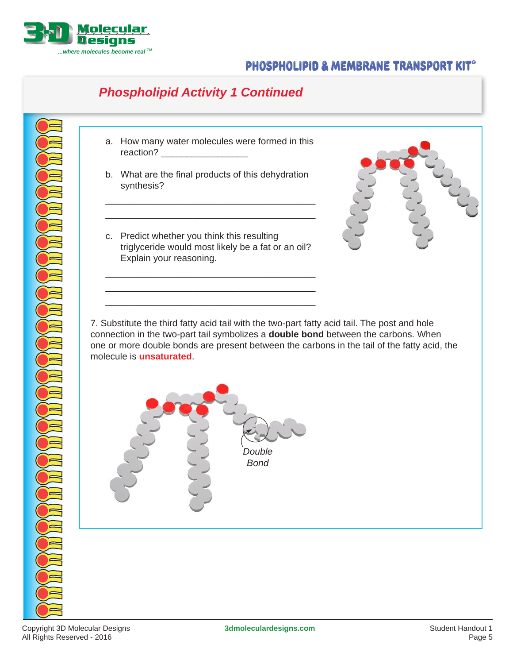

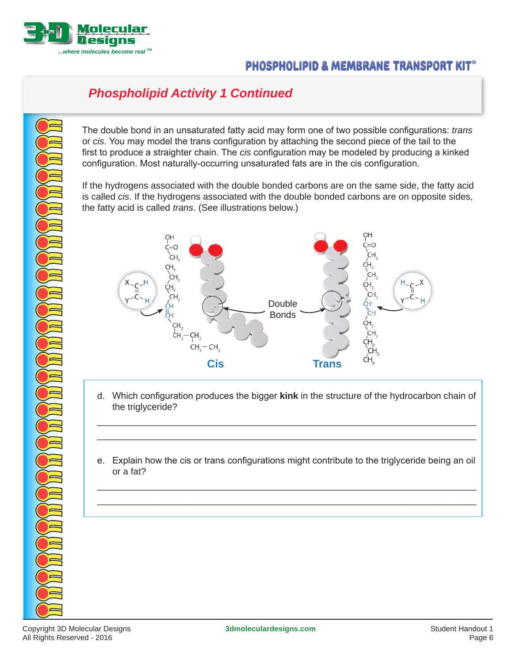

### **Phospholipid Activity 1 Continued**

The double bond in an unsaturated fatty acid may form one of two possible configurations: trans or cis. You may model the trans configuration by attaching the second piece of the tail to the first to produce a straighter chain. The cis configuration may be modeled by producing a kinked configuration. Most naturally-occurring unsaturated fats are in the cis configuration.

If the hydrogens associated with the double bonded carbons are on the same side, the fatty acid is called cis. If the hydrogens associated with the double bonded carbons are on opposite sides, the fatty acid is called trans. (See illustrations below.)



d. Which configuration produces the bigger **kink** in the structure of the hydrocarbon chain of the triglyceride?

\_\_\_\_\_\_\_\_\_\_\_\_\_\_\_\_\_\_\_\_\_\_\_\_\_\_\_\_\_\_\_\_\_\_\_\_\_\_\_\_\_\_\_\_\_\_\_\_\_\_\_\_\_\_\_\_\_\_\_\_\_\_\_\_\_\_\_\_\_\_\_\_\_\_ \_\_\_\_\_\_\_\_\_\_\_\_\_\_\_\_\_\_\_\_\_\_\_\_\_\_\_\_\_\_\_\_\_\_\_\_\_\_\_\_\_\_\_\_\_\_\_\_\_\_\_\_\_\_\_\_\_\_\_\_\_\_\_\_\_\_\_\_\_\_\_\_\_\_

e. Explain how the cis or trans configurations might contribute to the triglyceride being an oil or a fat?

\_\_\_\_\_\_\_\_\_\_\_\_\_\_\_\_\_\_\_\_\_\_\_\_\_\_\_\_\_\_\_\_\_\_\_\_\_\_\_\_\_\_\_\_\_\_\_\_\_\_\_\_\_\_\_\_\_\_\_\_\_\_\_\_\_\_\_\_\_\_\_\_\_\_ \_\_\_\_\_\_\_\_\_\_\_\_\_\_\_\_\_\_\_\_\_\_\_\_\_\_\_\_\_\_\_\_\_\_\_\_\_\_\_\_\_\_\_\_\_\_\_\_\_\_\_\_\_\_\_\_\_\_\_\_\_\_\_\_\_\_\_\_\_\_\_\_\_\_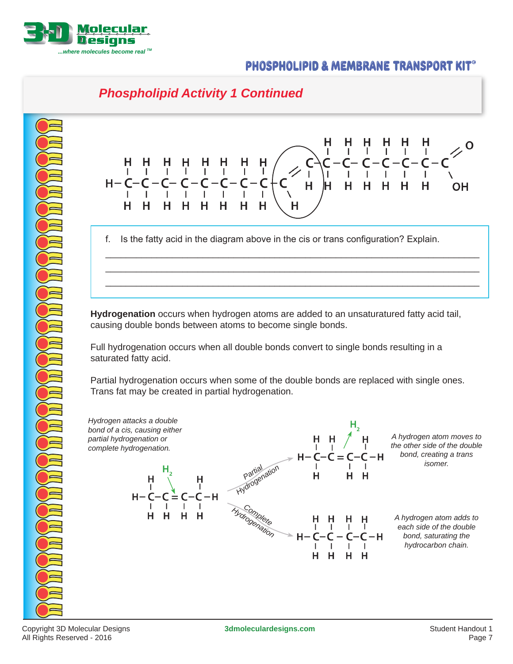

#### **PHOSPHOLIPID & MEMBRANE TRANSPORT KIT**

#### **Phospholipid Activity 1 Continued**



\_\_\_\_\_\_\_\_\_\_\_\_\_\_\_\_\_\_\_\_\_\_\_\_\_\_\_\_\_\_\_\_\_\_\_\_\_\_\_\_\_\_\_\_\_\_\_\_\_\_\_\_\_\_\_\_\_\_\_\_\_\_\_\_\_\_\_\_\_\_\_\_\_ \_\_\_\_\_\_\_\_\_\_\_\_\_\_\_\_\_\_\_\_\_\_\_\_\_\_\_\_\_\_\_\_\_\_\_\_\_\_\_\_\_\_\_\_\_\_\_\_\_\_\_\_\_\_\_\_\_\_\_\_\_\_\_\_\_\_\_\_\_\_\_\_\_ \_\_\_\_\_\_\_\_\_\_\_\_\_\_\_\_\_\_\_\_\_\_\_\_\_\_\_\_\_\_\_\_\_\_\_\_\_\_\_\_\_\_\_\_\_\_\_\_\_\_\_\_\_\_\_\_\_\_\_\_\_\_\_\_\_\_\_\_\_\_\_\_\_

f. Is the fatty acid in the diagram above in the cis or trans configuration? Explain.

**Hydrogenation** occurs when hydrogen atoms are added to an unsaturatured fatty acid tail, causing double bonds between atoms to become single bonds.

Full hydrogenation occurs when all double bonds convert to single bonds resulting in a saturated fatty acid.

Partial<br>Hydrogenation

Complete Hydrogenation

Partial hydrogenation occurs when some of the double bonds are replaced with single ones. Trans fat may be created in partial hydrogenation.

> H.  $H$

 $C-C=C$ 

C

н - H

H. н

 $\mathbf{I}$ -C – C–C–H

T

H H

 $\mathbf{I}$ 

T н

Н. H

J.  $\mathbf{I}$ 

- C-

 $\mathbf{I}$ H H I

 $\overline{1}$ 

Hydrogen attacks a double bond of a cis, causing either partial hydrogenation or complete hydrogenation.



A hydrogen atom moves to the other side of the double bond, creating a trans isomer.

A hydrogen atom adds to each side of the double bond, saturating the hydrocarbon chain.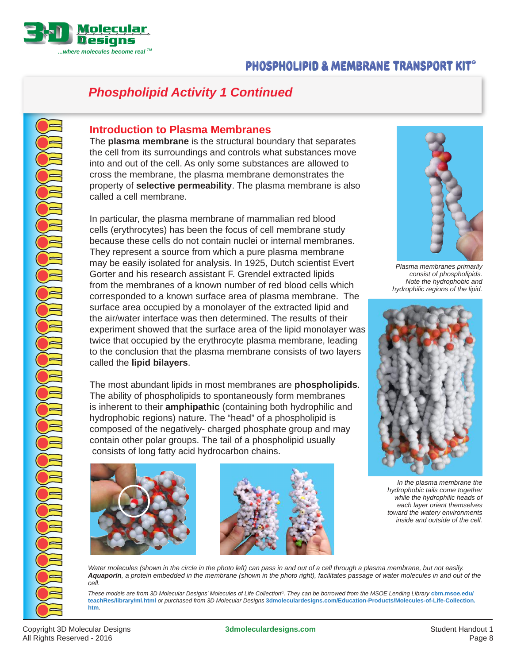

### **Phospholipid Activity 1 Continued**

#### **Introduction to Plasma Membranes**

The **plasma membrane** is the structural boundary that separates the cell from its surroundings and controls what substances move into and out of the cell. As only some substances are allowed to cross the membrane, the plasma membrane demonstrates the property of **selective permeability**. The plasma membrane is also called a cell membrane.

In particular, the plasma membrane of mammalian red blood cells (erythrocytes) has been the focus of cell membrane study because these cells do not contain nuclei or internal membranes. They represent a source from which a pure plasma membrane may be easily isolated for analysis. In 1925, Dutch scientist Evert Gorter and his research assistant F. Grendel extracted lipids from the membranes of a known number of red blood cells which corresponded to a known surface area of plasma membrane. The surface area occupied by a monolayer of the extracted lipid and the air/water interface was then determined. The results of their experiment showed that the surface area of the lipid monolayer was twice that occupied by the erythrocyte plasma membrane, leading to the conclusion that the plasma membrane consists of two layers called the **lipid bilayers**.

The most abundant lipids in most membranes are **phospholipids**. The ability of phospholipids to spontaneously form membranes is inherent to their **amphipathic** (containing both hydrophilic and hydrophobic regions) nature. The "head" of a phospholipid is composed of the negatively- charged phosphate group and may contain other polar groups. The tail of a phospholipid usually consists of long fatty acid hydrocarbon chains.







Plasma membranes primarily consist of phospholipids. Note the hydrophobic and hydrophilic regions of the lipid.



In the plasma membrane the hydrophobic tails come together while the hydrophilic heads of each layer orient themselves toward the watery environments inside and outside of the cell.

Water molecules (shown in the circle in the photo left) can pass in and out of a cell through a plasma membrane, but not easily. **Aquaporin**, a protein embedded in the membrane (shown in the photo right), facilitates passage of water molecules in and out of the cell.

These models are from 3D Molecular Designs' Molecules of Life Collection©. They can be borrowed from the MSOE Lending Library **cbm.msoe.edu/ teachRes/library/ml.html** or purchased from 3D Molecular Designs **3dmoleculardesigns.com/Education-Products/Molecules-of-Life-Collection. htm**.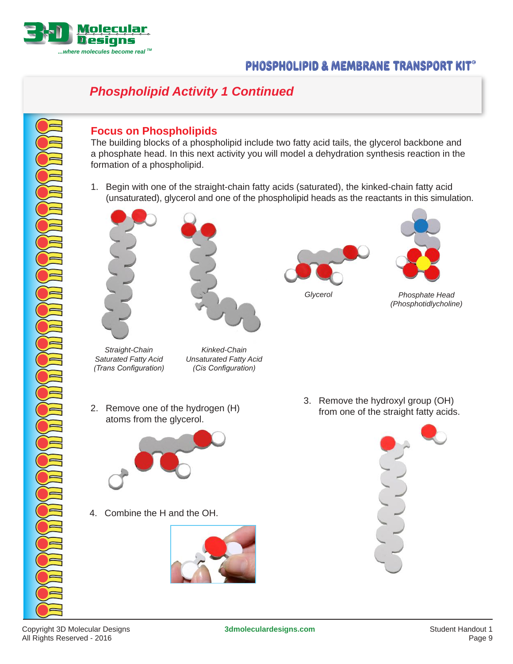

Č

#### **PHOSPHOLIPID & MEMBRANE TRANSPORT KIT<sup>®</sup>**

### **Phospholipid Activity 1 Continued**

#### **Focus on Phospholipids**

The building blocks of a phospholipid include two fatty acid tails, the glycerol backbone and a phosphate head. In this next activity you will model a dehydration synthesis reaction in the formation of a phospholipid.

1. Begin with one of the straight-chain fatty acids (saturated), the kinked-chain fatty acid (unsaturated), glycerol and one of the phospholipid heads as the reactants in this simulation.





Straight-Chain Saturated Fatty Acid *(Trans Configuration)*

Kinked-Chain Unsaturated Fatty Acid *(Cis Configuration)*

2. Remove one of the hydrogen (H) atoms from the glycerol.



4. Combine the H and the OH.





**Glycerol** 



Phosphate Head (Phosphotidlycholine)

3. Remove the hydroxyl group (OH) from one of the straight fatty acids.

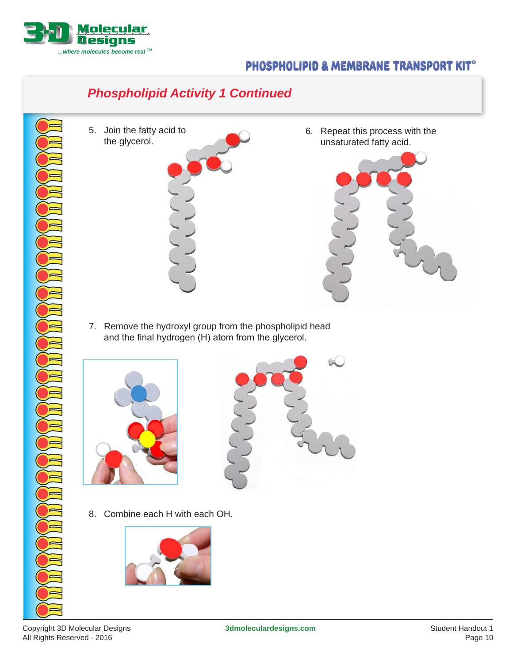

## **Phospholipid Activity 1 Continued**

5. Join the fatty acid to the glycerol.



6. Repeat this process with the unsaturated fatty acid.



7. Remove the hydroxyl group from the phospholipid head and the final hydrogen (H) atom from the glycerol.





8. Combine each H with each OH.



DE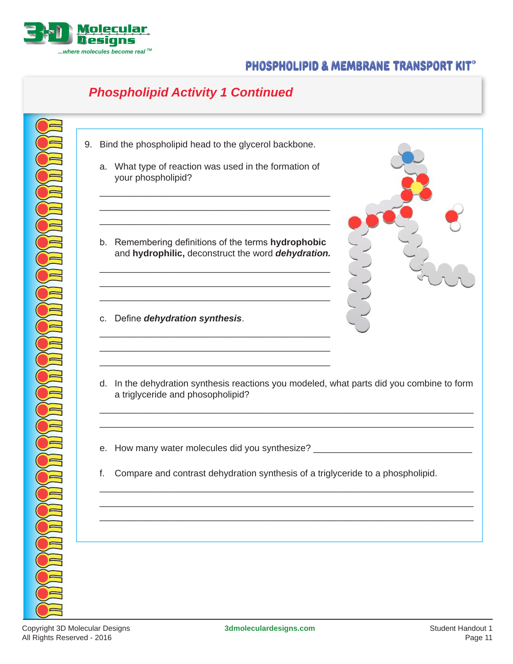

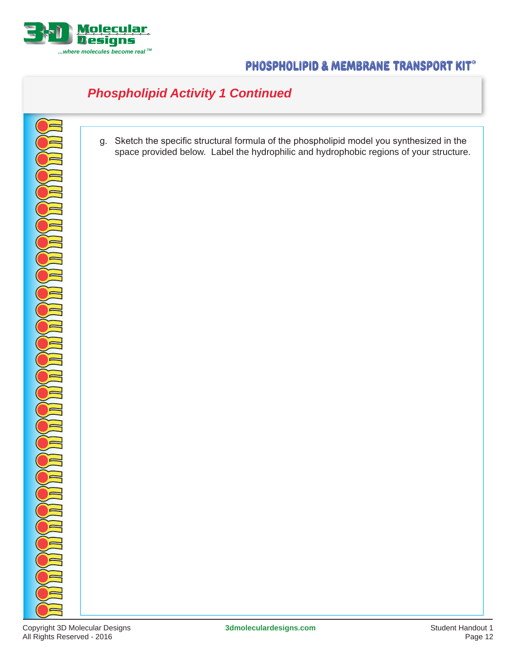

### **Phospholipid Activity 1 Continued**

g. Sketch the specific structural formula of the phospholipid model you synthesized in the space provided below. Label the hydrophilic and hydrophobic regions of your structure.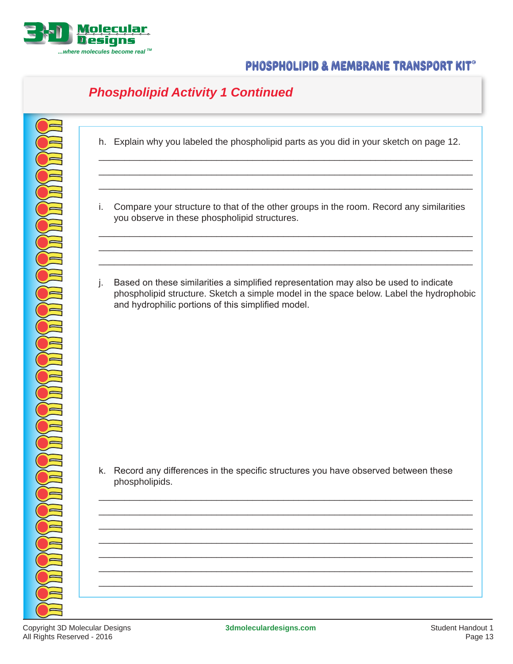